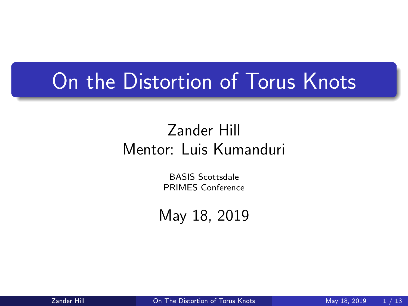### <span id="page-0-0"></span>On the Distortion of Torus Knots

#### Zander Hill Mentor: Luis Kumanduri

BASIS Scottsdale PRIMES Conference

May 18, 2019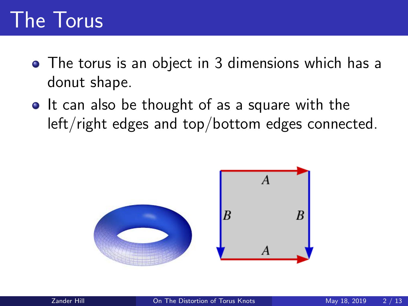# The Torus

- The torus is an object in 3 dimensions which has a donut shape.
- It can also be thought of as a square with the left/right edges and top/bottom edges connected.

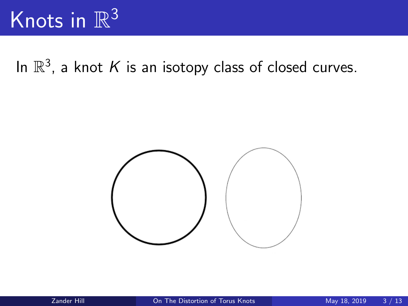# Knots in  $\mathbb{R}^3$

In  $\mathbb{R}^3$ , a knot K is an isotopy class of closed curves.

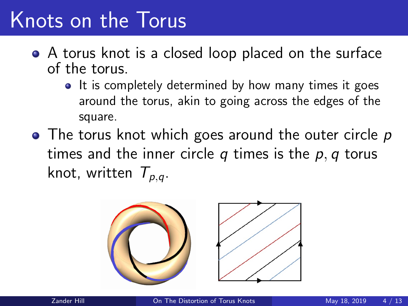## Knots on the Torus

- A torus knot is a closed loop placed on the surface of the torus.
	- It is completely determined by how many times it goes around the torus, akin to going across the edges of the square.
- The torus knot which goes around the outer circle p times and the inner circle  $q$  times is the  $p, q$  torus knot, written  $T_{p,q}$ .

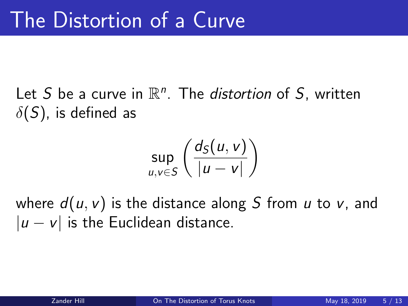Let S be a curve in  $\mathbb{R}^n$ . The *distortion* of S, written  $\delta(S)$ , is defined as

$$
\sup_{u,v\in S}\left(\frac{d_S(u,v)}{|u-v|}\right)
$$

where  $d(u, v)$  is the distance along S from u to v, and  $|u - v|$  is the Euclidean distance.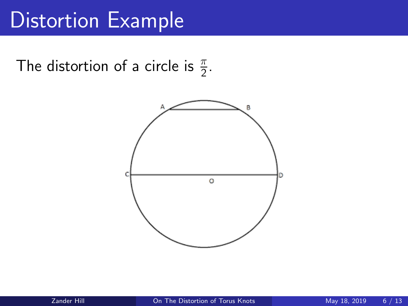### Distortion Example

The distortion of a circle is  $\frac{\pi}{2}$ .

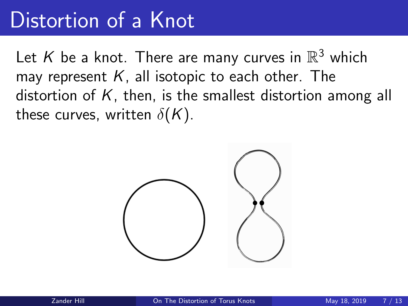### Distortion of a Knot

Let  $K$  be a knot. There are many curves in  $\mathbb{R}^3$  which may represent  $K$ , all isotopic to each other. The distortion of  $K$ , then, is the smallest distortion among all these curves, written  $\delta(K)$ .

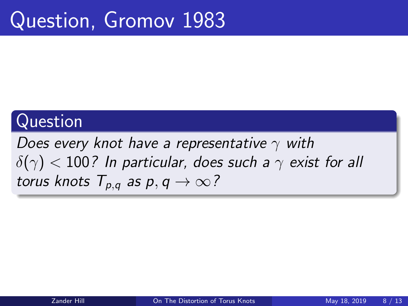### Question, Gromov 1983

#### Question

Does every knot have a representative  $\gamma$  with  $\delta(\gamma)$  < 100? In particular, does such a  $\gamma$  exist for all torus knots  $T_{p,q}$  as  $p, q \rightarrow \infty$ ?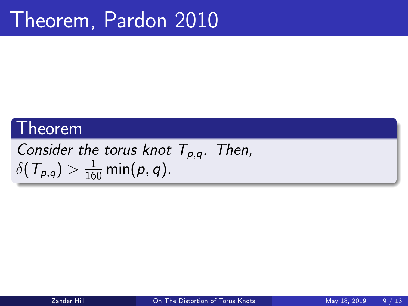#### Theorem

Consider the torus knot  $T_{p,q}$ . Then,  $\delta(\mathcal{T}_{p,q}) > \frac{1}{160} \min(p,q).$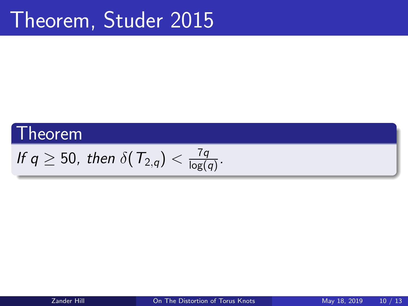### Theorem, Studer 2015

### **Theorem**

If 
$$
q \ge 50
$$
, then  $\delta(T_{2,q}) < \frac{7q}{\log(q)}$ .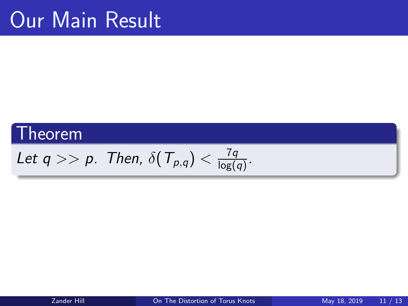### Our Main Result

### Theorem

Let 
$$
q \gg p
$$
. Then,  $\delta(T_{p,q}) < \frac{7q}{\log(q)}$ .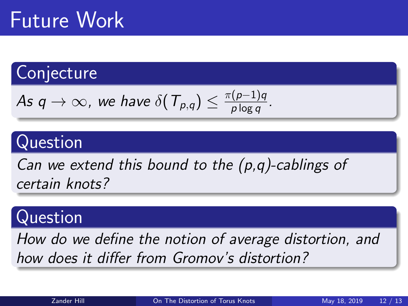# Future Work

### **Conjecture**

As 
$$
q \to \infty
$$
, we have  $\delta(T_{p,q}) \leq \frac{\pi(p-1)q}{p \log q}$ .

### Question

Can we extend this bound to the  $(p,q)$ -cablings of certain knots?

#### Question

How do we define the notion of average distortion, and how does it differ from Gromov's distortion?